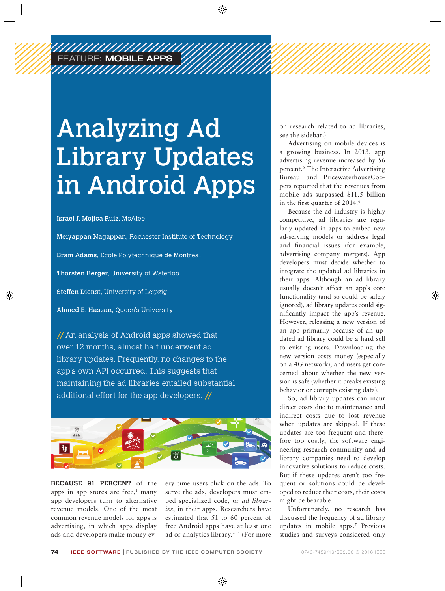## Analyzing Ad Library Updates in Android Apps

Israel J. Mojica Ruiz, McAfee

Meiyappan Nagappan, Rochester Institute of Technology

Bram Adams, Ecole Polytechnique de Montreal

Thorsten Berger, University of Waterloo

Steffen Dienst, University of Leipzig

Ahmed E. Hassan, Queen's University

**//** An analysis of Android apps showed that over 12 months, almost half underwent ad library updates. Frequently, no changes to the app's own API occurred. This suggests that maintaining the ad libraries entailed substantial additional effort for the app developers. **//**



**BECAUSE 91 PERCENT** of the apps in app stores are free, $<sup>1</sup>$  many</sup> app developers turn to alternative revenue models. One of the most common revenue models for apps is advertising, in which apps display ads and developers make money ev-

ery time users click on the ads. To serve the ads, developers must embed specialized code, or *ad libraries*, in their apps. Researchers have estimated that 51 to 60 percent of free Android apps have at least one ad or analytics library.<sup>2-4</sup> (For more on research related to ad libraries, see the sidebar.)

Advertising on mobile devices is a growing business. In 2013, app advertising revenue increased by 56 percent.5 The Interactive Advertising Bureau and PricewaterhouseCoopers reported that the revenues from mobile ads surpassed \$11.5 billion in the first quarter of 2014.<sup>6</sup>

Because the ad industry is highly competitive, ad libraries are regularly updated in apps to embed new ad- serving models or address legal and financial issues (for example, advertising company mergers). App developers must decide whether to integrate the updated ad libraries in their apps. Although an ad library usually doesn't affect an app's core functionality (and so could be safely ignored), ad library updates could significantly impact the app's revenue. However, releasing a new version of an app primarily because of an updated ad library could be a hard sell to existing users. Downloading the new version costs money (especially on a 4G network), and users get concerned about whether the new version is safe (whether it breaks existing behavior or corrupts existing data).

So, ad library updates can incur direct costs due to maintenance and indirect costs due to lost revenue when updates are skipped. If these updates are too frequent and therefore too costly, the software engineering research community and ad library companies need to develop innovative solutions to reduce costs. But if these updates aren't too frequent or solutions could be developed to reduce their costs, their costs might be bearable.

Unfortunately, no research has discussed the frequency of ad library updates in mobile apps.7 Previous studies and surveys considered only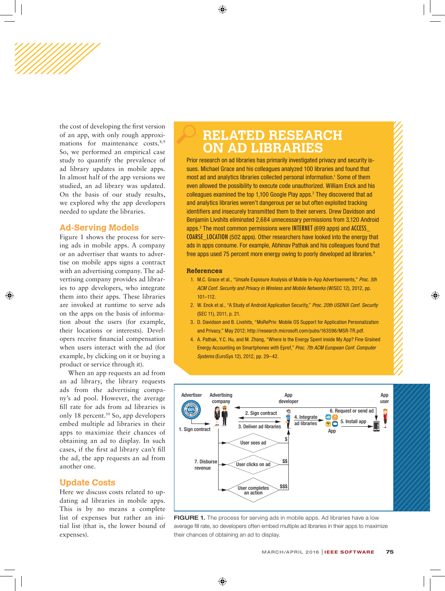

the cost of developing the first version of an app, with only rough approximations for maintenance costs.<sup>8,9</sup> So, we performed an empirical case study to quantify the prevalence of ad library updates in mobile apps. In almost half of the app versions we studied, an ad library was updated. On the basis of our study results, we explored why the app developers needed to update the libraries.

#### **Ad- Serving Models**

Figure 1 shows the process for serving ads in mobile apps. A company or an advertiser that wants to advertise on mobile apps signs a contract with an advertising company. The advertising company provides ad libraries to app developers, who integrate them into their apps. These libraries are invoked at runtime to serve ads on the apps on the basis of information about the users (for example, their locations or interests). Developers receive nancial compensation when users interact with the ad (for example, by clicking on it or buying a product or service through it).

When an app requests an ad from an ad library, the library requests ads from the advertising company's ad pool. However, the average fill rate for ads from ad libraries is only 18 percent.10 So, app developers embed multiple ad libraries in their apps to maximize their chances of obtaining an ad to display. In such cases, if the first ad library can't fill the ad, the app requests an ad from another one.

#### **Update Costs**

 Here we discuss costs related to updating ad libraries in mobile apps. This is by no means a complete list of expenses but rather an initial list (that is, the lower bound of expenses).

### **RELATED RESEARCH ON AD LIBRARIES**

Prior research on ad libraries has primarily investigated privacy and security issues. Michael Grace and his colleagues analyzed 100 libraries and found that most ad and analytics libraries collected personal information.<sup>1</sup> Some of them even allowed the possibility to execute code unauthorized. William Enck and his colleagues examined the top 1,100 Google Play apps.<sup>2</sup> They discovered that ad and analytics libraries weren't dangerous per se but often exploited tracking identifiers and insecurely transmitted them to their servers. Drew Davidson and Benjamin Livshits eliminated 2,684 unnecessary permissions from 3,120 Android apps.3 The most common permissions were INTERNET (699 apps) and ACCESS\_ COARSE\_LOCATION (502 apps). Other researchers have looked into the energy that ads in apps consume. For example, Abhinav Pathak and his colleagues found that free apps used 75 percent more energy owing to poorly developed ad libraries.4

#### **References**

- 1. M.C. Grace et al., "Unsafe Exposure Analysis of Mobile In- App Advertisements," *Proc. 5th ACM Conf. Security and Privacy in Wireless and Mobile Networks* (WISEC 12), 2012, pp. 101–112.
- 2. W. Enck et al., "A Study of Android Application Security," *Proc. 20th USENIX Conf. Security* (SEC 11), 2011, p. 21.
- 3. D. Davidson and B. Livshits, "MoRePriv: Mobile OS Support for Application Personalization and Privacy," May 2012; http://research.microsoft.com/pubs/163596/MSR-TR.pdf.
- 4. A. Pathak, Y.C. Hu, and M. Zhang, "Where Is the Energy Spent inside My App? Fine Grained Energy Accounting on Smartphones with Eprof," *Proc. 7th ACM European Conf. Computer Systems* (EuroSys 12), 2012, pp. 29–42.



FIGURE 1. The process for serving ads in mobile apps. Ad libraries have a low average fill rate, so developers often embed multiple ad libraries in their apps to maximize their chances of obtaining an ad to display.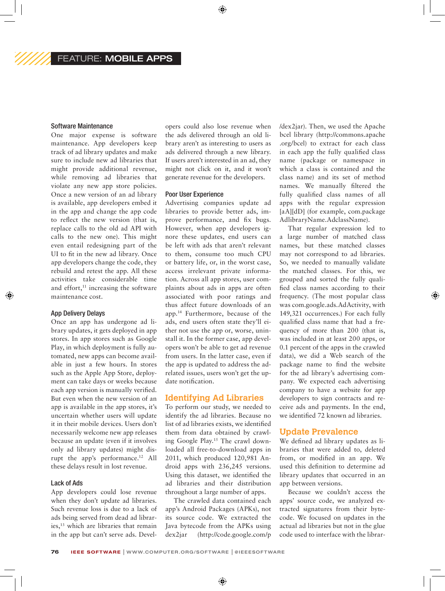#### Software Maintenance

One major expense is software maintenance. App developers keep track of ad library updates and make sure to include new ad libraries that might provide additional revenue, while removing ad libraries that violate any new app store policies. Once a new version of an ad library is available, app developers embed it in the app and change the app code to reflect the new version (that is, replace calls to the old ad API with calls to the new one). This might even entail redesigning part of the UI to fit in the new ad library. Once app developers change the code, they rebuild and retest the app. All these activities take considerable time and effort, $11$  increasing the software maintenance cost.

#### App Delivery Delays

Once an app has undergone ad library updates, it gets deployed in app stores. In app stores such as Google Play, in which deployment is fully automated, new apps can become available in just a few hours. In stores such as the Apple App Store, deployment can take days or weeks because each app version is manually verified. But even when the new version of an app is available in the app stores, it's uncertain whether users will update it in their mobile devices. Users don't necessarily welcome new app releases because an update (even if it involves only ad library updates) might disrupt the app's performance.12 All these delays result in lost revenue.

#### Lack of Ads

App developers could lose revenue when they don't update ad libraries. Such revenue loss is due to a lack of ads being served from dead ad libraries,13 which are libraries that remain in the app but can't serve ads. Developers could also lose revenue when the ads delivered through an old library aren't as interesting to users as ads delivered through a new library. If users aren't interested in an ad, they might not click on it, and it won't generate revenue for the developers.

#### Poor User Experience

Advertising companies update ad libraries to provide better ads, improve performance, and fix bugs. However, when app developers ignore these updates, end users can be left with ads that aren't relevant to them, consume too much CPU or battery life, or, in the worst case, access irrelevant private information. Across all app stores, user complaints about ads in apps are often associated with poor ratings and thus affect future downloads of an app.14 Furthermore, because of the ads, end users often state they'll either not use the app or, worse, uninstall it. In the former case, app developers won't be able to get ad revenue from users. In the latter case, even if the app is updated to address the adrelated issues, users won't get the update notification.

#### **Identifying Ad Libraries**

To perform our study, we needed to identify the ad libraries. Because no list of ad libraries exists, we identified them from data obtained by crawling Google Play.15 The crawl downloaded all free-to-download apps in 2011, which produced 120,981 Android apps with 236,245 versions. Using this dataset, we identified the ad libraries and their distribution throughout a large number of apps.

The crawled data contained each app's Android Packages (APKs), not its source code. We extracted the Java bytecode from the APKs using dex2jar (http://code.google.com/p

/dex2jar). Then, we used the Apache bcel library (http://commons.apache .org/bcel) to extract for each class in each app the fully qualified class name (package or namespace in which a class is contained and the class name) and its set of method names. We manually filtered the fully qualified class names of all apps with the regular expression [aA][dD] (for example, com.package AdlibraryName.AdclassName).

That regular expression led to a large number of matched class names, but these matched classes may not correspond to ad libraries. So, we needed to manually validate the matched classes. For this, we grouped and sorted the fully qualified class names according to their frequency. (The most popular class was com.google.ads.AdActivity, with 149,321 occurrences.) For each fully qualified class name that had a frequency of more than 200 (that is, was included in at least 200 apps, or 0.1 percent of the apps in the crawled data), we did a Web search of the package name to find the website for the ad library's advertising company. We expected each advertising company to have a website for app developers to sign contracts and receive ads and payments. In the end, we identified 72 known ad libraries.

#### **Update Prevalence**

We defined ad library updates as libraries that were added to, deleted from, or modified in an app. We used this definition to determine ad library updates that occurred in an app between versions.

Because we couldn't access the apps' source code, we analyzed extracted signatures from their bytecode. We focused on updates in the actual ad libraries but not in the glue code used to interface with the librar-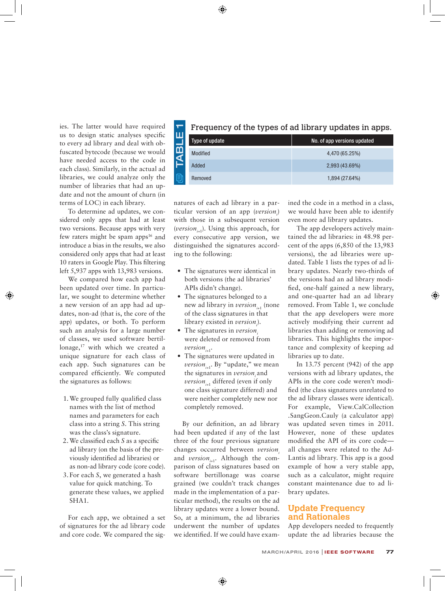ies. The latter would have required us to design static analyses specific to every ad library and deal with obfuscated bytecode (because we would have needed access to the code in each class). Similarly, in the actual ad libraries, we could analyze only the number of libraries that had an update and not the amount of churn (in terms of LOC) in each library.

To determine ad updates, we considered only apps that had at least two versions. Because apps with very few raters might be spam apps<sup>16</sup> and introduce a bias in the results, we also considered only apps that had at least 10 raters in Google Play. This filtering left 5,937 apps with 13,983 versions.

We compared how each app had been updated over time. In particular, we sought to determine whether a new version of an app had ad updates, non-ad (that is, the core of the app) updates, or both. To perform such an analysis for a large number of classes, we used software bertillonage,<sup>17</sup> with which we created a unique signature for each class of each app. Such signatures can be compared efficiently. We computed the signatures as follows:

- 1.We grouped fully qualified class names with the list of method names and parameters for each class into a string *S*. This string was the class's signature.
- 2.We classified each *S* as a specific ad library (on the basis of the previously identified ad libraries) or as non-ad library code (core code).
- 3. For each *S*, we generated a hash value for quick matching. To generate these values, we applied SHA1.

For each app, we obtained a set of signatures for the ad library code and core code. We compared the sig-

#### Frequency of the types of ad library updates in apps.

| ш      | Type of update | No. of app versions updated |
|--------|----------------|-----------------------------|
| m<br>◁ | Modified       | 4,470 (65.25%)              |
|        | Added          | 2,993 (43.69%)              |
|        | Removed        | 1,894 (27.64%)              |

natures of each ad library in a particular version of an app (*version*<sub>i</sub>) with those in a subsequent version (*version*<sub>*i*+1</sub>). Using this approach, for every consecutive app version, we distinguished the signatures according to the following:

- The signatures were identical in both versions (the ad libraries' APIs didn't change).
- The signatures belonged to a new ad library in *version*<sub>in</sub> (none of the class signatures in that library existed in *version<sub>i</sub>*).
- The signatures in *version*. were deleted or removed from  $version_{i+1}$ .
- The signatures were updated in *version*<sub>i-1</sub>. By "update," we mean the signatures in *version*<sub>*i*</sub> and *version*<sub> $i+1$ </sub> differed (even if only one class signature differed) and were neither completely new nor completely removed.

By our definition, an ad library had been updated if any of the last three of the four previous signature changes occurred between *version* and *version*<sub>i-1</sub>. Although the comparison of class signatures based on software bertillonage was coarse grained (we couldn't track changes made in the implementation of a particular method), the results on the ad library updates were a lower bound. So, at a minimum, the ad libraries underwent the number of updates we identified. If we could have examined the code in a method in a class, we would have been able to identify even more ad library updates.

The app developers actively maintained the ad libraries: in 48.98 percent of the apps (6,850 of the 13,983 versions), the ad libraries were updated. Table 1 lists the types of ad library updates. Nearly two-thirds of the versions had an ad library modified, one-half gained a new library, and one-quarter had an ad library removed. From Table 1, we conclude that the app developers were more actively modifying their current ad libraries than adding or removing ad libraries. This highlights the importance and complexity of keeping ad libraries up to date.

In 13.75 percent (942) of the app versions with ad library updates, the APIs in the core code weren't modified (the class signatures unrelated to the ad library classes were identical). For example, View.CalCollection .SangGeon.Cauly (a calculator app) was updated seven times in 2011. However, none of these updates modified the API of its core code all changes were related to the Ad-Lantis ad library. This app is a good example of how a very stable app, such as a calculator, might require constant maintenance due to ad library updates.

#### **Update Frequency and Rationales**

App developers needed to frequently update the ad libraries because the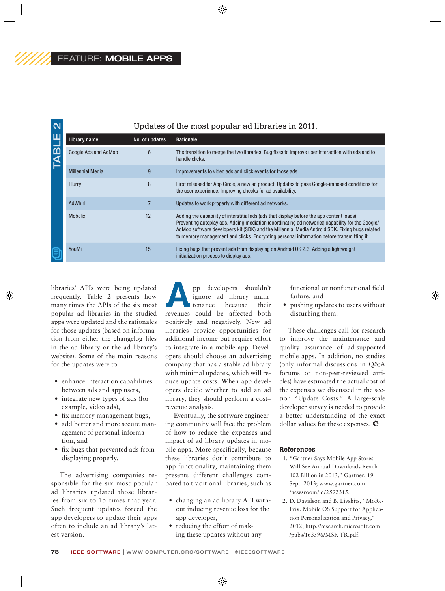| $\mathbf{\Omega}$ | Updates of the most popular ad libraries in 2011. |                |                                                                                                                                                                                                                                                                                                                                                                                            |
|-------------------|---------------------------------------------------|----------------|--------------------------------------------------------------------------------------------------------------------------------------------------------------------------------------------------------------------------------------------------------------------------------------------------------------------------------------------------------------------------------------------|
|                   | Library name                                      | No. of updates | Rationale                                                                                                                                                                                                                                                                                                                                                                                  |
| <b>TABLE</b>      | <b>Google Ads and AdMob</b>                       | 6              | The transition to merge the two libraries. Bug fixes to improve user interaction with ads and to<br>handle clicks.                                                                                                                                                                                                                                                                         |
|                   | <b>Millennial Media</b>                           | 9              | Improvements to video ads and click events for those ads.                                                                                                                                                                                                                                                                                                                                  |
|                   | <b>Flurry</b>                                     | 8              | First released for App Circle, a new ad product. Updates to pass Google-imposed conditions for<br>the user experience. Improving checks for ad availability.                                                                                                                                                                                                                               |
|                   | <b>AdWhirl</b>                                    |                | Updates to work properly with different ad networks.                                                                                                                                                                                                                                                                                                                                       |
|                   | <b>Mobclix</b>                                    | 12             | Adding the capability of interstitial ads (ads that display before the app content loads).<br>Preventing autoplay ads. Adding mediation (coordinating ad networks) capability for the Google/<br>AdMob software developers kit (SDK) and the Millennial Media Android SDK. Fixing bugs related<br>to memory management and clicks. Encrypting personal information before transmitting it. |
| ₿                 | YouMi                                             | 15             | Fixing bugs that prevent ads from displaying on Android OS 2.3. Adding a lightweight<br>initialization process to display ads.                                                                                                                                                                                                                                                             |

libraries' APIs were being updated frequently. Table 2 presents how many times the APIs of the six most popular ad libraries in the studied apps were updated and the rationales for those updates (based on information from either the changelog files in the ad library or the ad library's website). Some of the main reasons for the updates were to

- enhance interaction capabilities between ads and app users,
- integrate new types of ads (for example, video ads),
- fix memory management bugs,
- add better and more secure management of personal information, and
- fix bugs that prevented ads from displaying properly.

The advertising companies responsible for the six most popular ad libraries updated those libraries from six to 15 times that year. Such frequent updates forced the app developers to update their apps often to include an ad library's latest version.

pp developers shouldn't ignore ad library main-<br>tenance because their<br>revenues could be affected both ignore ad library maintenance because their positively and negatively. New ad libraries provide opportunities for additional income but require effort to integrate in a mobile app. Developers should choose an advertising company that has a stable ad library with minimal updates, which will reduce update costs. When app developers decide whether to add an ad library, they should perform a cost– revenue analysis.

Eventually, the software engineering community will face the problem of how to reduce the expenses and impact of ad library updates in mobile apps. More specifically, because these libraries don't contribute to app functionality, maintaining them presents different challenges compared to traditional libraries, such as

- changing an ad library API without inducing revenue loss for the app developer,
- reducing the effort of making these updates without any

functional or nonfunctional field failure, and

• pushing updates to users without disturbing them.

These challenges call for research to improve the maintenance and quality assurance of ad-supported mobile apps. In addition, no studies (only informal discussions in Q&A forums or non-peer-reviewed articles) have estimated the actual cost of the expenses we discussed in the section "Update Costs." A large-scale developer survey is needed to provide a better understanding of the exact dollar values for these expenses.

#### **References**

- 1. "Gartner Says Mobile App Stores Will See Annual Downloads Reach 102 Billion in 2013," Gartner, 19 Sept. 2013; www.gartner.com /newsroom/id/2592315.
- 2. D. Davidson and B. Livshits, "MoRe-Priv: Mobile OS Support for Application Personalization and Privacy," 2012; http://research.microsoft.com /pubs/163596/MSR-TR.pdf.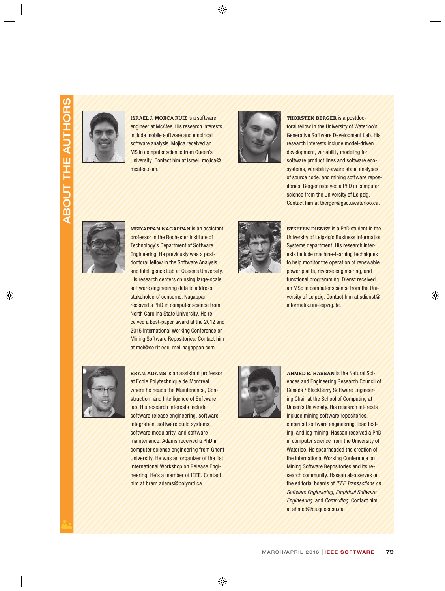# ABOUT THE AUTHORS ABOUT THE AUTHOR



**ISRAEL J. MOJICA RUIZ** is a software engineer at McAfee. His research interests include mobile software and empirical software analysis. Mojica received an MS in computer science from Queen's University. Contact him at israel\_mojica@ mcafee.com.



**THORSTEN BERGER** is a postdoctoral fellow in the University of Waterloo's Generative Software Development Lab. His research interests include model- driven development, variability modeling for software product lines and software ecosystems, variability-aware static analyses of source code, and mining software repositories. Berger received a PhD in computer science from the University of Leipzig. Contact him at tberger@gsd.uwaterloo.ca.



**MEIYAPPAN NAGAPPAN** is an assistant professor in the Rochester Institute of Technology's Department of Software Engineering. He previously was a postdoctoral fellow in the Software Analysis and Intelligence Lab at Queen's University. His research centers on using large-scale software engineering data to address stakeholders' concerns. Nagappan received a PhD in computer science from North Carolina State University. He received a best-paper award at the 2012 and 2015 International Working Conference on Mining Software Repositories. Contact him at mei@se.rit.edu; mei- nagappan.com.



**BRAM ADAMS** is an assistant professor at Ecole Polytechnique de Montreal. where he heads the Maintenance, Construction, and Intelligence of Software lab. His research interests include software release engineering, software integration, software build systems, software modularity, and software maintenance. Adams received a PhD in computer science engineering from Ghent University. He was an organizer of the 1st International Workshop on Release Engineering. He's a member of IEEE. Contact him at bram.adams@polymtl.ca.



**STEFFEN DIENST** is a PhD student in the University of Leipzig's Business Information Systems department. His research interests include machine-learning techniques to help monitor the operation of renewable power plants, reverse engineering, and functional programming. Dienst received an MSc in computer science from the University of Leipzig. Contact him at sdienst@ informatik.uni-leipzig.de.



**AHMED E. HASSAN** is the Natural Sciences and Engineering Research Council of Canada / BlackBerry Software Engineering Chair at the School of Computing at Queen's University. His research interests include mining software repositories, empirical software engineering, load testing, and log mining. Hassan received a PhD in computer science from the University of Waterloo. He spearheaded the creation of the International Working Conference on Mining Software Repositories and its research community. Hassan also serves on the editorial boards of *IEEE Transactions on Software Engineering*, *Empirical Software Engineering*, and *Computing*. Contact him at ahmed@cs.queensu.ca.